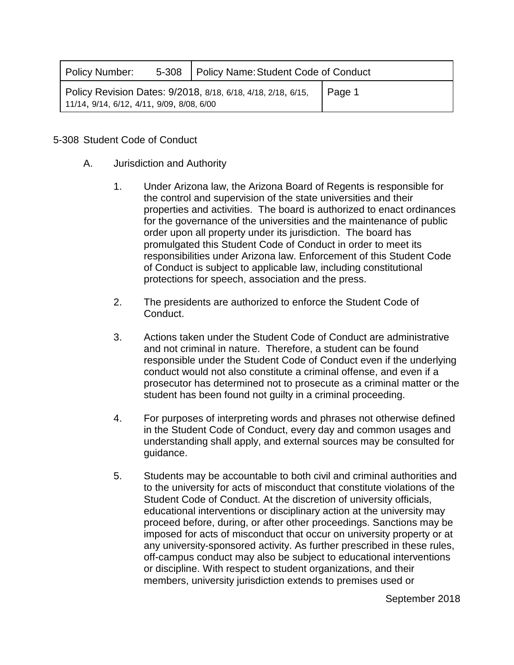| Policy Number:                            | 5-308   Policy Name: Student Code of Conduct                 |        |  |
|-------------------------------------------|--------------------------------------------------------------|--------|--|
| 11/14, 9/14, 6/12, 4/11, 9/09, 8/08, 6/00 | Policy Revision Dates: 9/2018, 8/18, 6/18, 4/18, 2/18, 6/15, | Page 1 |  |

## 5-308 Student Code of Conduct

- A. Jurisdiction and Authority
	- 1. Under Arizona law, the Arizona Board of Regents is responsible for the control and supervision of the state universities and their properties and activities. The board is authorized to enact ordinances for the governance of the universities and the maintenance of public order upon all property under its jurisdiction. The board has promulgated this Student Code of Conduct in order to meet its responsibilities under Arizona law. Enforcement of this Student Code of Conduct is subject to applicable law, including constitutional protections for speech, association and the press.
	- 2. The presidents are authorized to enforce the Student Code of Conduct.
	- 3. Actions taken under the Student Code of Conduct are administrative and not criminal in nature. Therefore, a student can be found responsible under the Student Code of Conduct even if the underlying conduct would not also constitute a criminal offense, and even if a prosecutor has determined not to prosecute as a criminal matter or the student has been found not guilty in a criminal proceeding.
	- 4. For purposes of interpreting words and phrases not otherwise defined in the Student Code of Conduct, every day and common usages and understanding shall apply, and external sources may be consulted for guidance.
	- 5. Students may be accountable to both civil and criminal authorities and to the university for acts of misconduct that constitute violations of the Student Code of Conduct. At the discretion of university officials, educational interventions or disciplinary action at the university may proceed before, during, or after other proceedings. Sanctions may be imposed for acts of misconduct that occur on university property or at any university-sponsored activity. As further prescribed in these rules, off-campus conduct may also be subject to educational interventions or discipline. With respect to student organizations, and their members, university jurisdiction extends to premises used or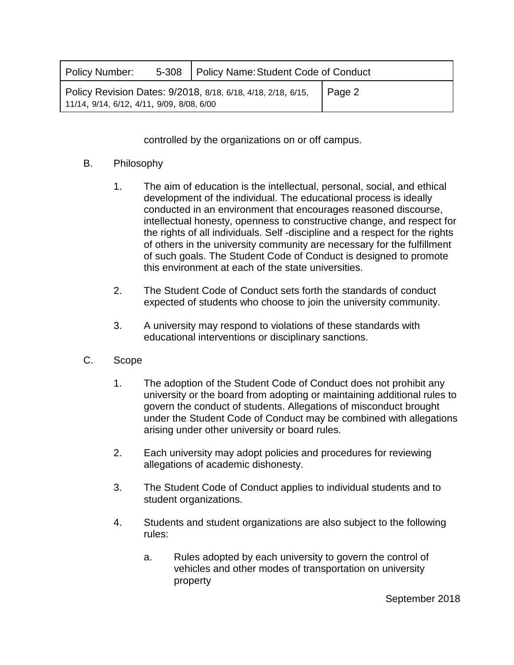| Policy Number:                            | 5-308   Policy Name: Student Code of Conduct                 |        |  |
|-------------------------------------------|--------------------------------------------------------------|--------|--|
| 11/14, 9/14, 6/12, 4/11, 9/09, 8/08, 6/00 | Policy Revision Dates: 9/2018, 8/18, 6/18, 4/18, 2/18, 6/15, | Page 2 |  |

controlled by the organizations on or off campus.

## B. Philosophy

- 1. The aim of education is the intellectual, personal, social, and ethical development of the individual. The educational process is ideally conducted in an environment that encourages reasoned discourse, intellectual honesty, openness to constructive change, and respect for the rights of all individuals. Self -discipline and a respect for the rights of others in the university community are necessary for the fulfillment of such goals. The Student Code of Conduct is designed to promote this environment at each of the state universities.
- 2. The Student Code of Conduct sets forth the standards of conduct expected of students who choose to join the university community.
- 3. A university may respond to violations of these standards with educational interventions or disciplinary sanctions.
- C. Scope
	- 1. The adoption of the Student Code of Conduct does not prohibit any university or the board from adopting or maintaining additional rules to govern the conduct of students. Allegations of misconduct brought under the Student Code of Conduct may be combined with allegations arising under other university or board rules.
	- 2. Each university may adopt policies and procedures for reviewing allegations of academic dishonesty.
	- 3. The Student Code of Conduct applies to individual students and to student organizations.
	- 4. Students and student organizations are also subject to the following rules:
		- a. Rules adopted by each university to govern the control of vehicles and other modes of transportation on university property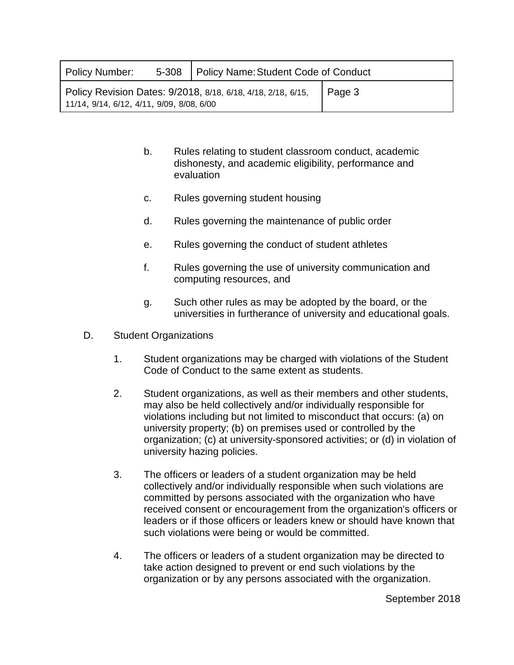| Policy Number:                            | 5-308   Policy Name: Student Code of Conduct                 |        |  |
|-------------------------------------------|--------------------------------------------------------------|--------|--|
| 11/14, 9/14, 6/12, 4/11, 9/09, 8/08, 6/00 | Policy Revision Dates: 9/2018, 8/18, 6/18, 4/18, 2/18, 6/15, | Page 3 |  |

- b. Rules relating to student classroom conduct, academic dishonesty, and academic eligibility, performance and evaluation
- c. Rules governing student housing
- d. Rules governing the maintenance of public order
- e. Rules governing the conduct of student athletes
- f. Rules governing the use of university communication and computing resources, and
- g. Such other rules as may be adopted by the board, or the universities in furtherance of university and educational goals.
- D. Student Organizations
	- 1. Student organizations may be charged with violations of the Student Code of Conduct to the same extent as students.
	- 2. Student organizations, as well as their members and other students, may also be held collectively and/or individually responsible for violations including but not limited to misconduct that occurs: (a) on university property; (b) on premises used or controlled by the organization; (c) at university-sponsored activities; or (d) in violation of university hazing policies.
	- 3. The officers or leaders of a student organization may be held collectively and/or individually responsible when such violations are committed by persons associated with the organization who have received consent or encouragement from the organization's officers or leaders or if those officers or leaders knew or should have known that such violations were being or would be committed.
	- 4. The officers or leaders of a student organization may be directed to take action designed to prevent or end such violations by the organization or by any persons associated with the organization.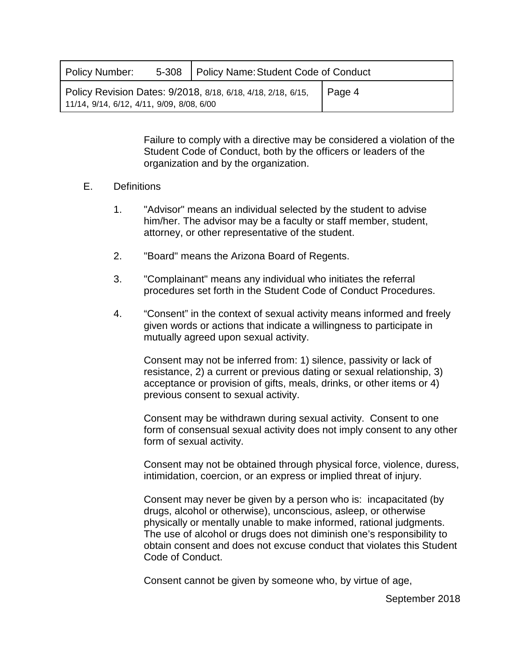| Policy Number:                               | 5-308   Policy Name: Student Code of Conduct                 |        |  |
|----------------------------------------------|--------------------------------------------------------------|--------|--|
| $11/14$ , 9/14, 6/12, 4/11, 9/09, 8/08, 6/00 | Policy Revision Dates: 9/2018, 8/18, 6/18, 4/18, 2/18, 6/15, | Page 4 |  |

Failure to comply with a directive may be considered a violation of the Student Code of Conduct, both by the officers or leaders of the organization and by the organization.

## E. Definitions

- 1. "Advisor" means an individual selected by the student to advise him/her. The advisor may be a faculty or staff member, student, attorney, or other representative of the student.
- 2. "Board" means the Arizona Board of Regents.
- 3. "Complainant" means any individual who initiates the referral procedures set forth in the Student Code of Conduct Procedures.
- 4. "Consent" in the context of sexual activity means informed and freely given words or actions that indicate a willingness to participate in mutually agreed upon sexual activity.

Consent may not be inferred from: 1) silence, passivity or lack of resistance, 2) a current or previous dating or sexual relationship, 3) acceptance or provision of gifts, meals, drinks, or other items or 4) previous consent to sexual activity.

Consent may be withdrawn during sexual activity. Consent to one form of consensual sexual activity does not imply consent to any other form of sexual activity.

Consent may not be obtained through physical force, violence, duress, intimidation, coercion, or an express or implied threat of injury.

Consent may never be given by a person who is: incapacitated (by drugs, alcohol or otherwise), unconscious, asleep, or otherwise physically or mentally unable to make informed, rational judgments. The use of alcohol or drugs does not diminish one's responsibility to obtain consent and does not excuse conduct that violates this Student Code of Conduct.

Consent cannot be given by someone who, by virtue of age,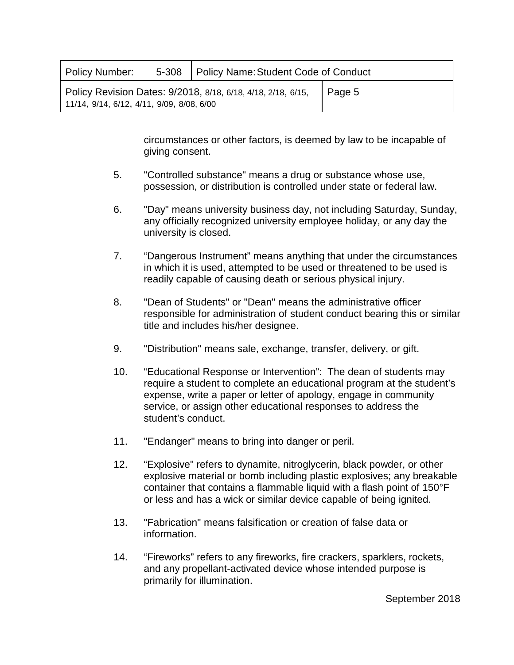| Policy Number:                               | 5-308   Policy Name: Student Code of Conduct                 |        |  |
|----------------------------------------------|--------------------------------------------------------------|--------|--|
| $11/14$ , 9/14, 6/12, 4/11, 9/09, 8/08, 6/00 | Policy Revision Dates: 9/2018, 8/18, 6/18, 4/18, 2/18, 6/15, | Page 5 |  |

circumstances or other factors, is deemed by law to be incapable of giving consent.

- 5. "Controlled substance" means a drug or substance whose use, possession, or distribution is controlled under state or federal law.
- 6. "Day" means university business day, not including Saturday, Sunday, any officially recognized university employee holiday, or any day the university is closed.
- 7. "Dangerous Instrument" means anything that under the circumstances in which it is used, attempted to be used or threatened to be used is readily capable of causing death or serious physical injury.
- 8. "Dean of Students" or "Dean" means the administrative officer responsible for administration of student conduct bearing this or similar title and includes his/her designee.
- 9. "Distribution" means sale, exchange, transfer, delivery, or gift.
- 10. "Educational Response or Intervention": The dean of students may require a student to complete an educational program at the student's expense, write a paper or letter of apology, engage in community service, or assign other educational responses to address the student's conduct.
- 11. "Endanger" means to bring into danger or peril.
- 12. "Explosive" refers to dynamite, nitroglycerin, black powder, or other explosive material or bomb including plastic explosives; any breakable container that contains a flammable liquid with a flash point of 150°F or less and has a wick or similar device capable of being ignited.
- 13. "Fabrication" means falsification or creation of false data or information.
- 14. "Fireworks" refers to any fireworks, fire crackers, sparklers, rockets, and any propellant-activated device whose intended purpose is primarily for illumination.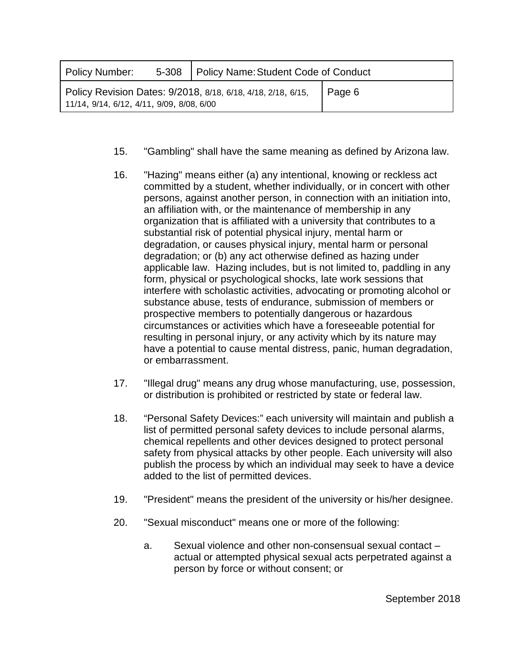| Policy Number:                               | 5-308   Policy Name: Student Code of Conduct                 |        |  |
|----------------------------------------------|--------------------------------------------------------------|--------|--|
| $11/14$ , 9/14, 6/12, 4/11, 9/09, 8/08, 6/00 | Policy Revision Dates: 9/2018, 8/18, 6/18, 4/18, 2/18, 6/15, | Page 6 |  |

- 15. "Gambling" shall have the same meaning as defined by Arizona law.
- 16. "Hazing" means either (a) any intentional, knowing or reckless act committed by a student, whether individually, or in concert with other persons, against another person, in connection with an initiation into, an affiliation with, or the maintenance of membership in any organization that is affiliated with a university that contributes to a substantial risk of potential physical injury, mental harm or degradation, or causes physical injury, mental harm or personal degradation; or (b) any act otherwise defined as hazing under applicable law. Hazing includes, but is not limited to, paddling in any form, physical or psychological shocks, late work sessions that interfere with scholastic activities, advocating or promoting alcohol or substance abuse, tests of endurance, submission of members or prospective members to potentially dangerous or hazardous circumstances or activities which have a foreseeable potential for resulting in personal injury, or any activity which by its nature may have a potential to cause mental distress, panic, human degradation, or embarrassment.
- 17. "Illegal drug" means any drug whose manufacturing, use, possession, or distribution is prohibited or restricted by state or federal law.
- 18. "Personal Safety Devices:" each university will maintain and publish a list of permitted personal safety devices to include personal alarms, chemical repellents and other devices designed to protect personal safety from physical attacks by other people. Each university will also publish the process by which an individual may seek to have a device added to the list of permitted devices.
- 19. "President" means the president of the university or his/her designee.
- 20. "Sexual misconduct" means one or more of the following:
	- a. Sexual violence and other non-consensual sexual contact actual or attempted physical sexual acts perpetrated against a person by force or without consent; or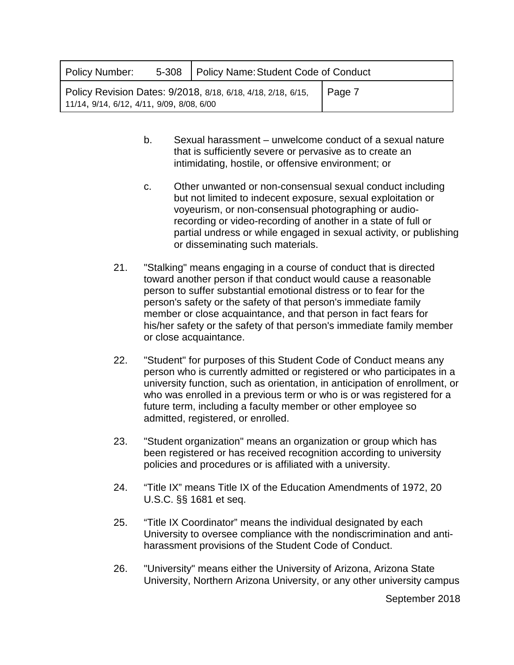| Policy Number:                               | 5-308   Policy Name: Student Code of Conduct                 |        |  |
|----------------------------------------------|--------------------------------------------------------------|--------|--|
| $11/14$ , 9/14, 6/12, 4/11, 9/09, 8/08, 6/00 | Policy Revision Dates: 9/2018, 8/18, 6/18, 4/18, 2/18, 6/15, | Page 7 |  |

- b. Sexual harassment unwelcome conduct of a sexual nature that is sufficiently severe or pervasive as to create an intimidating, hostile, or offensive environment; or
- c. Other unwanted or non-consensual sexual conduct including but not limited to indecent exposure, sexual exploitation or voyeurism, or non-consensual photographing or audiorecording or video-recording of another in a state of full or partial undress or while engaged in sexual activity, or publishing or disseminating such materials.
- 21. "Stalking" means engaging in a course of conduct that is directed toward another person if that conduct would cause a reasonable person to suffer substantial emotional distress or to fear for the person's safety or the safety of that person's immediate family member or close acquaintance, and that person in fact fears for his/her safety or the safety of that person's immediate family member or close acquaintance.
- 22. "Student" for purposes of this Student Code of Conduct means any person who is currently admitted or registered or who participates in a university function, such as orientation, in anticipation of enrollment, or who was enrolled in a previous term or who is or was registered for a future term, including a faculty member or other employee so admitted, registered, or enrolled.
- 23. "Student organization" means an organization or group which has been registered or has received recognition according to university policies and procedures or is affiliated with a university.
- 24. "Title IX" means Title IX of the Education Amendments of 1972, 20 U.S.C. §§ 1681 et seq.
- 25. "Title IX Coordinator" means the individual designated by each University to oversee compliance with the nondiscrimination and antiharassment provisions of the Student Code of Conduct.
- 26. "University" means either the University of Arizona, Arizona State University, Northern Arizona University, or any other university campus

September 2018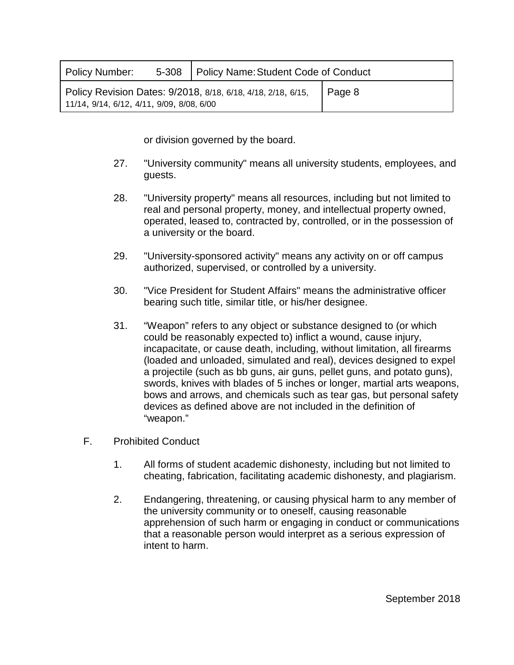| Policy Number:                               | 5-308   Policy Name: Student Code of Conduct                 |                |  |
|----------------------------------------------|--------------------------------------------------------------|----------------|--|
| $11/14$ , 9/14, 6/12, 4/11, 9/09, 8/08, 6/00 | Policy Revision Dates: 9/2018, 8/18, 6/18, 4/18, 2/18, 6/15, | $\vert$ Page 8 |  |

or division governed by the board.

- 27. "University community" means all university students, employees, and guests.
- 28. "University property" means all resources, including but not limited to real and personal property, money, and intellectual property owned, operated, leased to, contracted by, controlled, or in the possession of a university or the board.
- 29. "University-sponsored activity" means any activity on or off campus authorized, supervised, or controlled by a university.
- 30. "Vice President for Student Affairs" means the administrative officer bearing such title, similar title, or his/her designee.
- 31. "Weapon" refers to any object or substance designed to (or which could be reasonably expected to) inflict a wound, cause injury, incapacitate, or cause death, including, without limitation, all firearms (loaded and unloaded, simulated and real), devices designed to expel a projectile (such as bb guns, air guns, pellet guns, and potato guns), swords, knives with blades of 5 inches or longer, martial arts weapons, bows and arrows, and chemicals such as tear gas, but personal safety devices as defined above are not included in the definition of "weapon."
- F. Prohibited Conduct
	- 1. All forms of student academic dishonesty, including but not limited to cheating, fabrication, facilitating academic dishonesty, and plagiarism.
	- 2. Endangering, threatening, or causing physical harm to any member of the university community or to oneself, causing reasonable apprehension of such harm or engaging in conduct or communications that a reasonable person would interpret as a serious expression of intent to harm.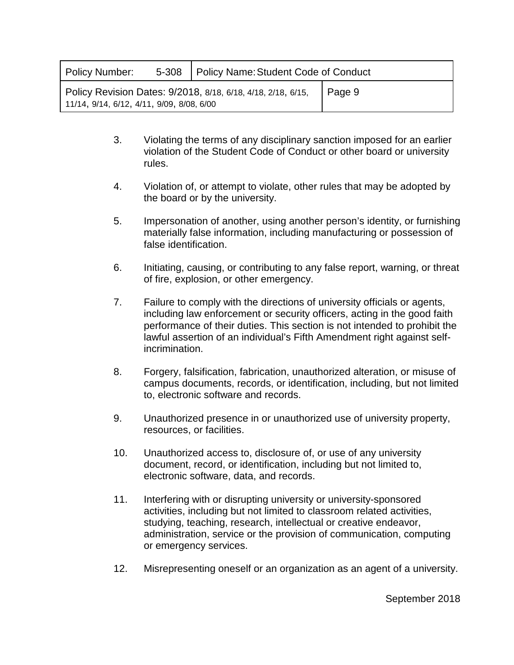| Policy Number:                               | 5-308   Policy Name: Student Code of Conduct                 |        |  |
|----------------------------------------------|--------------------------------------------------------------|--------|--|
| $11/14$ , 9/14, 6/12, 4/11, 9/09, 8/08, 6/00 | Policy Revision Dates: 9/2018, 8/18, 6/18, 4/18, 2/18, 6/15, | Page 9 |  |

- 3. Violating the terms of any disciplinary sanction imposed for an earlier violation of the Student Code of Conduct or other board or university rules.
- 4. Violation of, or attempt to violate, other rules that may be adopted by the board or by the university.
- 5. Impersonation of another, using another person's identity, or furnishing materially false information, including manufacturing or possession of false identification.
- 6. Initiating, causing, or contributing to any false report, warning, or threat of fire, explosion, or other emergency.
- 7. Failure to comply with the directions of university officials or agents, including law enforcement or security officers, acting in the good faith performance of their duties. This section is not intended to prohibit the lawful assertion of an individual's Fifth Amendment right against selfincrimination.
- 8. Forgery, falsification, fabrication, unauthorized alteration, or misuse of campus documents, records, or identification, including, but not limited to, electronic software and records.
- 9. Unauthorized presence in or unauthorized use of university property, resources, or facilities.
- 10. Unauthorized access to, disclosure of, or use of any university document, record, or identification, including but not limited to, electronic software, data, and records.
- 11. Interfering with or disrupting university or university-sponsored activities, including but not limited to classroom related activities, studying, teaching, research, intellectual or creative endeavor, administration, service or the provision of communication, computing or emergency services.
- 12. Misrepresenting oneself or an organization as an agent of a university.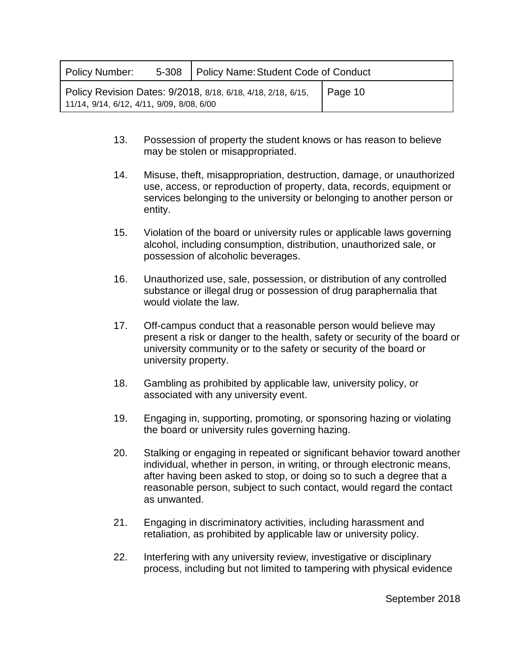| Policy Number:                            | 5-308   Policy Name: Student Code of Conduct                 |         |  |
|-------------------------------------------|--------------------------------------------------------------|---------|--|
| 11/14, 9/14, 6/12, 4/11, 9/09, 8/08, 6/00 | Policy Revision Dates: 9/2018, 8/18, 6/18, 4/18, 2/18, 6/15, | Page 10 |  |

- 13. Possession of property the student knows or has reason to believe may be stolen or misappropriated.
- 14. Misuse, theft, misappropriation, destruction, damage, or unauthorized use, access, or reproduction of property, data, records, equipment or services belonging to the university or belonging to another person or entity.
- 15. Violation of the board or university rules or applicable laws governing alcohol, including consumption, distribution, unauthorized sale, or possession of alcoholic beverages.
- 16. Unauthorized use, sale, possession, or distribution of any controlled substance or illegal drug or possession of drug paraphernalia that would violate the law.
- 17. Off-campus conduct that a reasonable person would believe may present a risk or danger to the health, safety or security of the board or university community or to the safety or security of the board or university property.
- 18. Gambling as prohibited by applicable law, university policy, or associated with any university event.
- 19. Engaging in, supporting, promoting, or sponsoring hazing or violating the board or university rules governing hazing.
- 20. Stalking or engaging in repeated or significant behavior toward another individual, whether in person, in writing, or through electronic means, after having been asked to stop, or doing so to such a degree that a reasonable person, subject to such contact, would regard the contact as unwanted.
- 21. Engaging in discriminatory activities, including harassment and retaliation, as prohibited by applicable law or university policy.
- 22. Interfering with any university review, investigative or disciplinary process, including but not limited to tampering with physical evidence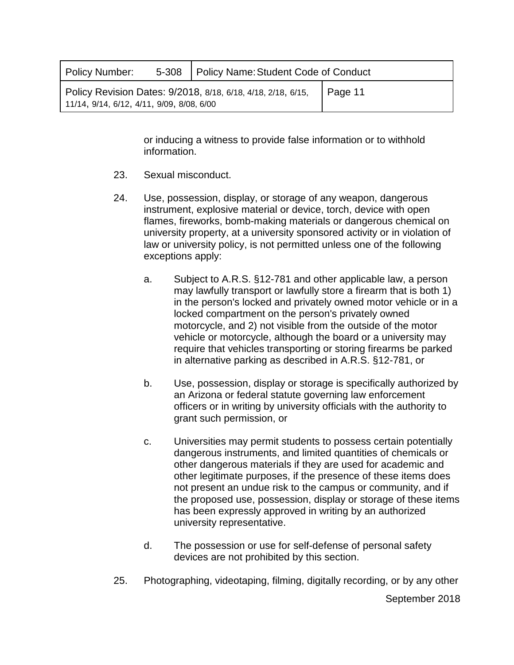| Policy Number:                               | 5-308   Policy Name: Student Code of Conduct                 |         |  |
|----------------------------------------------|--------------------------------------------------------------|---------|--|
| $11/14$ , 9/14, 6/12, 4/11, 9/09, 8/08, 6/00 | Policy Revision Dates: 9/2018, 8/18, 6/18, 4/18, 2/18, 6/15, | Page 11 |  |

or inducing a witness to provide false information or to withhold information.

- 23. Sexual misconduct.
- 24. Use, possession, display, or storage of any weapon, dangerous instrument, explosive material or device, torch, device with open flames, fireworks, bomb-making materials or dangerous chemical on university property, at a university sponsored activity or in violation of law or university policy, is not permitted unless one of the following exceptions apply:
	- a. Subject to A.R.S. §12-781 and other applicable law, a person may lawfully transport or lawfully store a firearm that is both 1) in the person's locked and privately owned motor vehicle or in a locked compartment on the person's privately owned motorcycle, and 2) not visible from the outside of the motor vehicle or motorcycle, although the board or a university may require that vehicles transporting or storing firearms be parked in alternative parking as described in A.R.S. §12-781, or
	- b. Use, possession, display or storage is specifically authorized by an Arizona or federal statute governing law enforcement officers or in writing by university officials with the authority to grant such permission, or
	- c. Universities may permit students to possess certain potentially dangerous instruments, and limited quantities of chemicals or other dangerous materials if they are used for academic and other legitimate purposes, if the presence of these items does not present an undue risk to the campus or community, and if the proposed use, possession, display or storage of these items has been expressly approved in writing by an authorized university representative.
	- d. The possession or use for self-defense of personal safety devices are not prohibited by this section.
- 25. Photographing, videotaping, filming, digitally recording, or by any other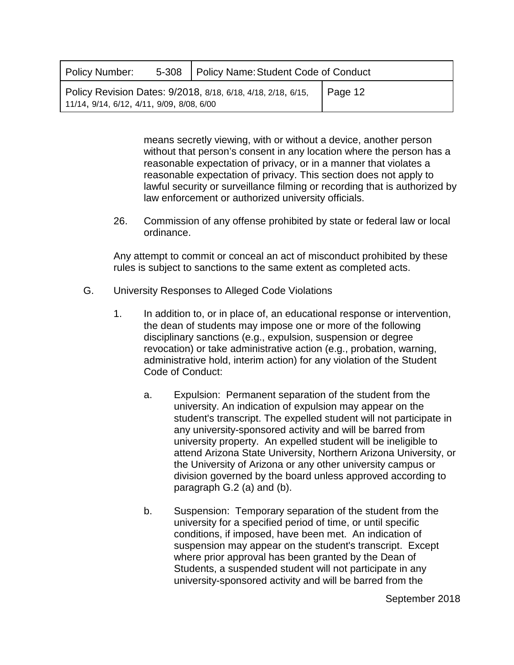| Policy Number:                            | 5-308   Policy Name: Student Code of Conduct                 |         |  |
|-------------------------------------------|--------------------------------------------------------------|---------|--|
| 11/14, 9/14, 6/12, 4/11, 9/09, 8/08, 6/00 | Policy Revision Dates: 9/2018, 8/18, 6/18, 4/18, 2/18, 6/15, | Page 12 |  |

means secretly viewing, with or without a device, another person without that person's consent in any location where the person has a reasonable expectation of privacy, or in a manner that violates a reasonable expectation of privacy. This section does not apply to lawful security or surveillance filming or recording that is authorized by law enforcement or authorized university officials.

26. Commission of any offense prohibited by state or federal law or local ordinance.

Any attempt to commit or conceal an act of misconduct prohibited by these rules is subject to sanctions to the same extent as completed acts.

- G. University Responses to Alleged Code Violations
	- 1. In addition to, or in place of, an educational response or intervention, the dean of students may impose one or more of the following disciplinary sanctions (e.g., expulsion, suspension or degree revocation) or take administrative action (e.g., probation, warning, administrative hold, interim action) for any violation of the Student Code of Conduct:
		- a. Expulsion: Permanent separation of the student from the university. An indication of expulsion may appear on the student's transcript. The expelled student will not participate in any university-sponsored activity and will be barred from university property. An expelled student will be ineligible to attend Arizona State University, Northern Arizona University, or the University of Arizona or any other university campus or division governed by the board unless approved according to paragraph G.2 (a) and (b).
		- b. Suspension: Temporary separation of the student from the university for a specified period of time, or until specific conditions, if imposed, have been met. An indication of suspension may appear on the student's transcript. Except where prior approval has been granted by the Dean of Students, a suspended student will not participate in any university-sponsored activity and will be barred from the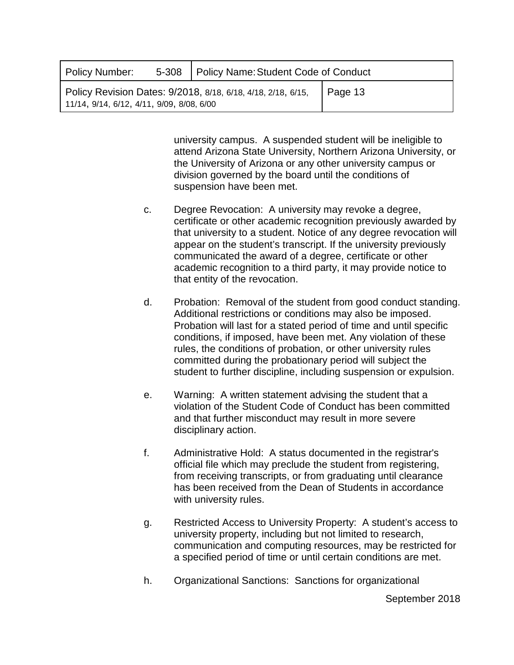| Policy Number:                                                                                                       |  | 5-308   Policy Name: Student Code of Conduct |  |  |
|----------------------------------------------------------------------------------------------------------------------|--|----------------------------------------------|--|--|
| Policy Revision Dates: 9/2018, 8/18, 6/18, 4/18, 2/18, 6/15,<br>Page 13<br>11/14, 9/14, 6/12, 4/11, 9/09, 8/08, 6/00 |  |                                              |  |  |

university campus. A suspended student will be ineligible to attend Arizona State University, Northern Arizona University, or the University of Arizona or any other university campus or division governed by the board until the conditions of suspension have been met.

- c. Degree Revocation: A university may revoke a degree, certificate or other academic recognition previously awarded by that university to a student. Notice of any degree revocation will appear on the student's transcript. If the university previously communicated the award of a degree, certificate or other academic recognition to a third party, it may provide notice to that entity of the revocation.
- d. Probation: Removal of the student from good conduct standing. Additional restrictions or conditions may also be imposed. Probation will last for a stated period of time and until specific conditions, if imposed, have been met. Any violation of these rules, the conditions of probation, or other university rules committed during the probationary period will subject the student to further discipline, including suspension or expulsion.
- e. Warning: A written statement advising the student that a violation of the Student Code of Conduct has been committed and that further misconduct may result in more severe disciplinary action.
- f. Administrative Hold: A status documented in the registrar's official file which may preclude the student from registering, from receiving transcripts, or from graduating until clearance has been received from the Dean of Students in accordance with university rules.
- g. Restricted Access to University Property: A student's access to university property, including but not limited to research, communication and computing resources, may be restricted for a specified period of time or until certain conditions are met.
- h. Organizational Sanctions: Sanctions for organizational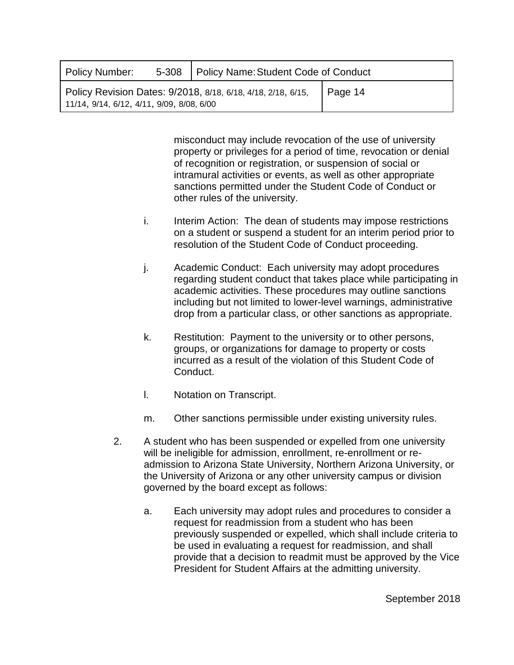| Policy Number:                                                                                                       |  | 5-308   Policy Name: Student Code of Conduct |  |  |
|----------------------------------------------------------------------------------------------------------------------|--|----------------------------------------------|--|--|
| Policy Revision Dates: 9/2018, 8/18, 6/18, 4/18, 2/18, 6/15,<br>Page 14<br>11/14, 9/14, 6/12, 4/11, 9/09, 8/08, 6/00 |  |                                              |  |  |

misconduct may include revocation of the use of university property or privileges for a period of time, revocation or denial of recognition or registration, or suspension of social or intramural activities or events, as well as other appropriate sanctions permitted under the Student Code of Conduct or other rules of the university.

- i. Interim Action: The dean of students may impose restrictions on a student or suspend a student for an interim period prior to resolution of the Student Code of Conduct proceeding.
- j. Academic Conduct: Each university may adopt procedures regarding student conduct that takes place while participating in academic activities. These procedures may outline sanctions including but not limited to lower-level warnings, administrative drop from a particular class, or other sanctions as appropriate.
- k. Restitution: Payment to the university or to other persons, groups, or organizations for damage to property or costs incurred as a result of the violation of this Student Code of Conduct.
- l. Notation on Transcript.
- m. Other sanctions permissible under existing university rules.
- 2. A student who has been suspended or expelled from one university will be ineligible for admission, enrollment, re-enrollment or readmission to Arizona State University, Northern Arizona University, or the University of Arizona or any other university campus or division governed by the board except as follows:
	- a. Each university may adopt rules and procedures to consider a request for readmission from a student who has been previously suspended or expelled, which shall include criteria to be used in evaluating a request for readmission, and shall provide that a decision to readmit must be approved by the Vice President for Student Affairs at the admitting university.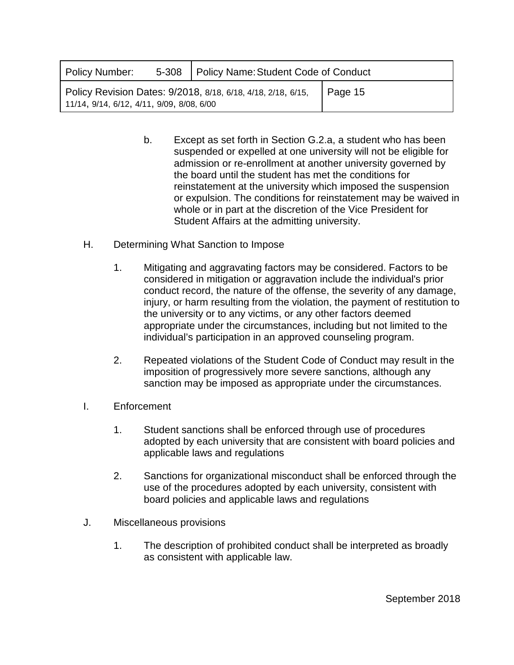| Policy Number:                                                                                                          |  | 5-308   Policy Name: Student Code of Conduct |  |  |
|-------------------------------------------------------------------------------------------------------------------------|--|----------------------------------------------|--|--|
| Policy Revision Dates: 9/2018, 8/18, 6/18, 4/18, 2/18, 6/15,<br>Page 15<br>$11/14$ , 9/14, 6/12, 4/11, 9/09, 8/08, 6/00 |  |                                              |  |  |

- b. Except as set forth in Section G.2.a, a student who has been suspended or expelled at one university will not be eligible for admission or re-enrollment at another university governed by the board until the student has met the conditions for reinstatement at the university which imposed the suspension or expulsion. The conditions for reinstatement may be waived in whole or in part at the discretion of the Vice President for Student Affairs at the admitting university.
- H. Determining What Sanction to Impose
	- 1. Mitigating and aggravating factors may be considered. Factors to be considered in mitigation or aggravation include the individual's prior conduct record, the nature of the offense, the severity of any damage, injury, or harm resulting from the violation, the payment of restitution to the university or to any victims, or any other factors deemed appropriate under the circumstances, including but not limited to the individual's participation in an approved counseling program.
	- 2. Repeated violations of the Student Code of Conduct may result in the imposition of progressively more severe sanctions, although any sanction may be imposed as appropriate under the circumstances.
- I. Enforcement
	- 1. Student sanctions shall be enforced through use of procedures adopted by each university that are consistent with board policies and applicable laws and regulations
	- 2. Sanctions for organizational misconduct shall be enforced through the use of the procedures adopted by each university, consistent with board policies and applicable laws and regulations
- J. Miscellaneous provisions
	- 1. The description of prohibited conduct shall be interpreted as broadly as consistent with applicable law.